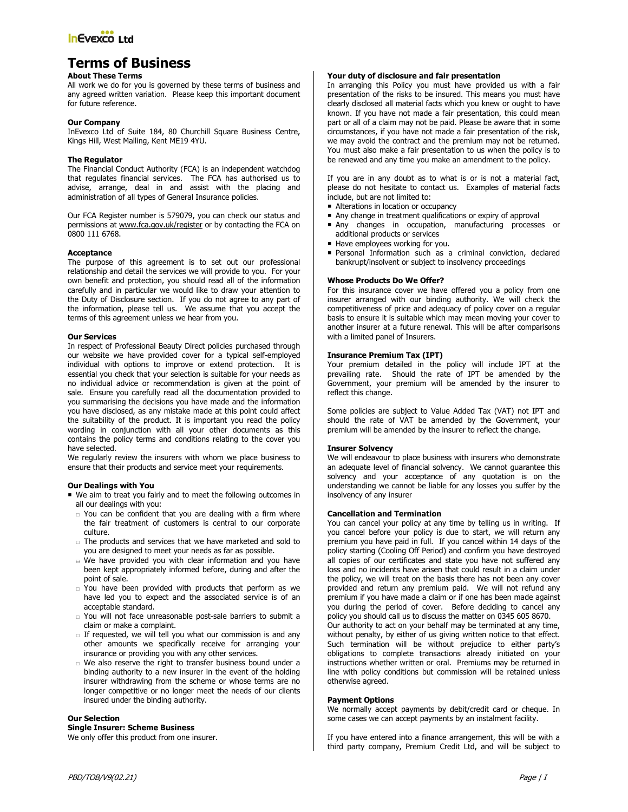# **Terms of Business**

# **About These Terms**

All work we do for you is governed by these terms of business and any agreed written variation. Please keep this important document for future reference.

## **Our Company**

InEvexco Ltd of Suite 184, 80 Churchill Square Business Centre, Kings Hill, West Malling, Kent ME19 4YU.

# **The Regulator**

The Financial Conduct Authority (FCA) is an independent watchdog that regulates financial services. The FCA has authorised us to advise, arrange, deal in and assist with the placing and administration of all types of General Insurance policies.

Our FCA Register number is 579079, you can check our status and permissions at www.fca.gov.uk/register or by contacting the FCA on 0800 111 6768.

## **Acceptance**

The purpose of this agreement is to set out our professional relationship and detail the services we will provide to you. For your own benefit and protection, you should read all of the information carefully and in particular we would like to draw your attention to the Duty of Disclosure section. If you do not agree to any part of the information, please tell us. We assume that you accept the terms of this agreement unless we hear from you.

## **Our Services**

In respect of Professional Beauty Direct policies purchased through our website we have provided cover for a typical self-employed individual with options to improve or extend protection. It is essential you check that your selection is suitable for your needs as no individual advice or recommendation is given at the point of sale. Ensure you carefully read all the documentation provided to you summarising the decisions you have made and the information you have disclosed, as any mistake made at this point could affect the suitability of the product. It is important you read the policy wording in conjunction with all your other documents as this contains the policy terms and conditions relating to the cover you have selected.

We regularly review the insurers with whom we place business to ensure that their products and service meet your requirements.

# **Our Dealings with You**

- We aim to treat you fairly and to meet the following outcomes in all our dealings with you:
	- You can be confident that you are dealing with a firm where the fair treatment of customers is central to our corporate culture.
	- The products and services that we have marketed and sold to you are designed to meet your needs as far as possible.
	- $\equiv$  We have provided you with clear information and you have been kept appropriately informed before, during and after the point of sale.
	- You have been provided with products that perform as we have led you to expect and the associated service is of an acceptable standard.
	- You will not face unreasonable post-sale barriers to submit a claim or make a complaint.
	- $\Box$  If requested, we will tell you what our commission is and any other amounts we specifically receive for arranging your insurance or providing you with any other services.
	- We also reserve the right to transfer business bound under a binding authority to a new insurer in the event of the holding insurer withdrawing from the scheme or whose terms are no longer competitive or no longer meet the needs of our clients insured under the binding authority.

## **Our Selection**

**Single Insurer: Scheme Business** 

We only offer this product from one insurer.

# **Your duty of disclosure and fair presentation**

In arranging this Policy you must have provided us with a fair presentation of the risks to be insured. This means you must have clearly disclosed all material facts which you knew or ought to have known. If you have not made a fair presentation, this could mean part or all of a claim may not be paid. Please be aware that in some circumstances, if you have not made a fair presentation of the risk, we may avoid the contract and the premium may not be returned. You must also make a fair presentation to us when the policy is to be renewed and any time you make an amendment to the policy.

If you are in any doubt as to what is or is not a material fact, please do not hesitate to contact us. Examples of material facts include, but are not limited to:

- Alterations in location or occupancy
- Any change in treatment qualifications or expiry of approval
- Any changes in occupation, manufacturing processes or additional products or services
- Have employees working for you.
- Personal Information such as a criminal conviction, declared bankrupt/insolvent or subject to insolvency proceedings

## **Whose Products Do We Offer?**

For this insurance cover we have offered you a policy from one insurer arranged with our binding authority. We will check the competitiveness of price and adequacy of policy cover on a regular basis to ensure it is suitable which may mean moving your cover to another insurer at a future renewal. This will be after comparisons with a limited panel of Insurers.

## **Insurance Premium Tax (IPT)**

Your premium detailed in the policy will include IPT at the prevailing rate. Should the rate of IPT be amended by the Government, your premium will be amended by the insurer to reflect this change.

Some policies are subject to Value Added Tax (VAT) not IPT and should the rate of VAT be amended by the Government, your premium will be amended by the insurer to reflect the change.

### **Insurer Solvency**

We will endeavour to place business with insurers who demonstrate an adequate level of financial solvency. We cannot guarantee this solvency and your acceptance of any quotation is on the understanding we cannot be liable for any losses you suffer by the insolvency of any insurer

## **Cancellation and Termination**

You can cancel your policy at any time by telling us in writing. If you cancel before your policy is due to start, we will return any premium you have paid in full. If you cancel within 14 days of the policy starting (Cooling Off Period) and confirm you have destroyed all copies of our certificates and state you have not suffered any loss and no incidents have arisen that could result in a claim under the policy, we will treat on the basis there has not been any cover provided and return any premium paid. We will not refund any premium if you have made a claim or if one has been made against you during the period of cover. Before deciding to cancel any policy you should call us to discuss the matter on 0345 605 8670.

Our authority to act on your behalf may be terminated at any time, without penalty, by either of us giving written notice to that effect. Such termination will be without prejudice to either party's obligations to complete transactions already initiated on your instructions whether written or oral. Premiums may be returned in line with policy conditions but commission will be retained unless otherwise agreed.

# **Payment Options**

We normally accept payments by debit/credit card or cheque. In some cases we can accept payments by an instalment facility.

If you have entered into a finance arrangement, this will be with a third party company, Premium Credit Ltd, and will be subject to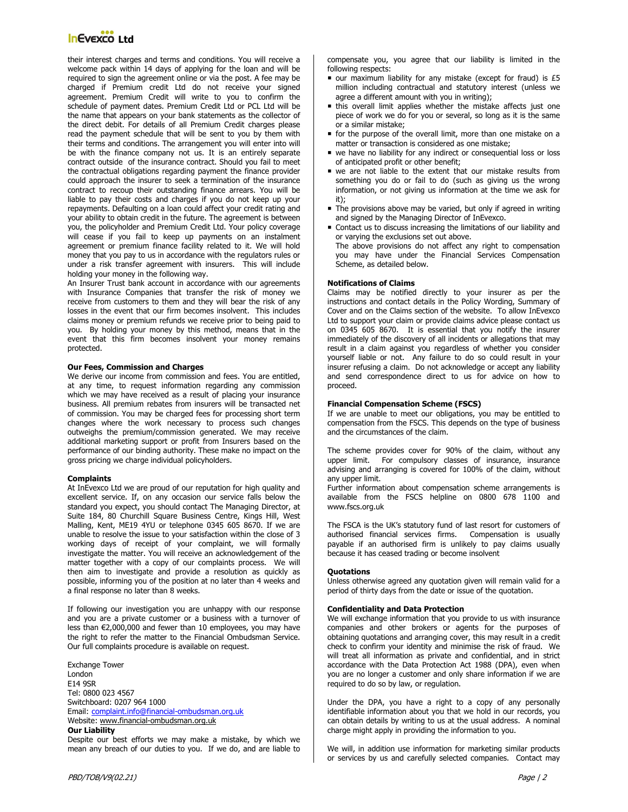# **InEvexco Ltd**

their interest charges and terms and conditions. You will receive a welcome pack within 14 days of applying for the loan and will be required to sign the agreement online or via the post. A fee may be charged if Premium credit Ltd do not receive your signed agreement. Premium Credit will write to you to confirm the schedule of payment dates. Premium Credit Ltd or PCL Ltd will be the name that appears on your bank statements as the collector of the direct debit. For details of all Premium Credit charges please read the payment schedule that will be sent to you by them with their terms and conditions. The arrangement you will enter into will be with the finance company not us. It is an entirely separate contract outside of the insurance contract. Should you fail to meet the contractual obligations regarding payment the finance provider could approach the insurer to seek a termination of the insurance contract to recoup their outstanding finance arrears. You will be liable to pay their costs and charges if you do not keep up your repayments. Defaulting on a loan could affect your credit rating and your ability to obtain credit in the future. The agreement is between you, the policyholder and Premium Credit Ltd. Your policy coverage will cease if you fail to keep up payments on an instalment agreement or premium finance facility related to it. We will hold money that you pay to us in accordance with the regulators rules or under a risk transfer agreement with insurers. This will include holding your money in the following way.

An Insurer Trust bank account in accordance with our agreements with Insurance Companies that transfer the risk of money we receive from customers to them and they will bear the risk of any losses in the event that our firm becomes insolvent. This includes claims money or premium refunds we receive prior to being paid to you. By holding your money by this method, means that in the event that this firm becomes insolvent your money remains protected.

## **Our Fees, Commission and Charges**

We derive our income from commission and fees. You are entitled, at any time, to request information regarding any commission which we may have received as a result of placing your insurance business. All premium rebates from insurers will be transacted net of commission. You may be charged fees for processing short term changes where the work necessary to process such changes outweighs the premium/commission generated. We may receive additional marketing support or profit from Insurers based on the performance of our binding authority. These make no impact on the gross pricing we charge individual policyholders.

### **Complaints**

At InEvexco Ltd we are proud of our reputation for high quality and excellent service. If, on any occasion our service falls below the standard you expect, you should contact The Managing Director, at Suite 184, 80 Churchill Square Business Centre, Kings Hill, West Malling, Kent, ME19 4YU or telephone 0345 605 8670. If we are unable to resolve the issue to your satisfaction within the close of 3 working days of receipt of your complaint, we will formally investigate the matter. You will receive an acknowledgement of the matter together with a copy of our complaints process. We will then aim to investigate and provide a resolution as quickly as possible, informing you of the position at no later than 4 weeks and a final response no later than 8 weeks.

If following our investigation you are unhappy with our response and you are a private customer or a business with a turnover of less than €2,000,000 and fewer than 10 employees, you may have the right to refer the matter to the Financial Ombudsman Service. Our full complaints procedure is available on request.

Exchange Tower London E14 9SR Tel: 0800 023 4567 Switchboard: 0207 964 1000 Email: complaint.info@financial-ombudsman.org.uk Website: www.financial-ombudsman.org.uk **Our Liability** 

# Despite our best efforts we may make a mistake, by which we mean any breach of our duties to you. If we do, and are liable to

compensate you, you agree that our liability is limited in the following respects:

- $\blacksquare$  our maximum liability for any mistake (except for fraud) is £5 million including contractual and statutory interest (unless we agree a different amount with you in writing);
- **this overall limit applies whether the mistake affects just one** piece of work we do for you or several, so long as it is the same or a similar mistake;
- for the purpose of the overall limit, more than one mistake on a matter or transaction is considered as one mistake;
- we have no liability for any indirect or consequential loss or loss of anticipated profit or other benefit;
- we are not liable to the extent that our mistake results from something you do or fail to do (such as giving us the wrong information, or not giving us information at the time we ask for it);
- The provisions above may be varied, but only if agreed in writing and signed by the Managing Director of InEvexco.
- Contact us to discuss increasing the limitations of our liability and or varying the exclusions set out above.
- The above provisions do not affect any right to compensation you may have under the Financial Services Compensation Scheme, as detailed below.

## **Notifications of Claims**

Claims may be notified directly to your insurer as per the instructions and contact details in the Policy Wording, Summary of Cover and on the Claims section of the website. To allow InEvexco Ltd to support your claim or provide claims advice please contact us on 0345 605 8670. It is essential that you notify the insurer immediately of the discovery of all incidents or allegations that may result in a claim against you regardless of whether you consider yourself liable or not. Any failure to do so could result in your insurer refusing a claim. Do not acknowledge or accept any liability and send correspondence direct to us for advice on how to proceed.

#### **Financial Compensation Scheme (FSCS)**

If we are unable to meet our obligations, you may be entitled to compensation from the FSCS. This depends on the type of business and the circumstances of the claim.

The scheme provides cover for 90% of the claim, without any upper limit. For compulsory classes of insurance, insurance advising and arranging is covered for 100% of the claim, without any upper limit.

Further information about compensation scheme arrangements is available from the FSCS helpline on 0800 678 1100 and www.fscs.org.uk

The FSCA is the UK's statutory fund of last resort for customers of authorised financial services firms. Compensation is usually payable if an authorised firm is unlikely to pay claims usually because it has ceased trading or become insolvent

### **Quotations**

Unless otherwise agreed any quotation given will remain valid for a period of thirty days from the date or issue of the quotation.

### **Confidentiality and Data Protection**

We will exchange information that you provide to us with insurance companies and other brokers or agents for the purposes of obtaining quotations and arranging cover, this may result in a credit check to confirm your identity and minimise the risk of fraud. We will treat all information as private and confidential, and in strict accordance with the Data Protection Act 1988 (DPA), even when you are no longer a customer and only share information if we are required to do so by law, or regulation.

Under the DPA, you have a right to a copy of any personally identifiable information about you that we hold in our records, you can obtain details by writing to us at the usual address. A nominal charge might apply in providing the information to you.

We will, in addition use information for marketing similar products or services by us and carefully selected companies. Contact may